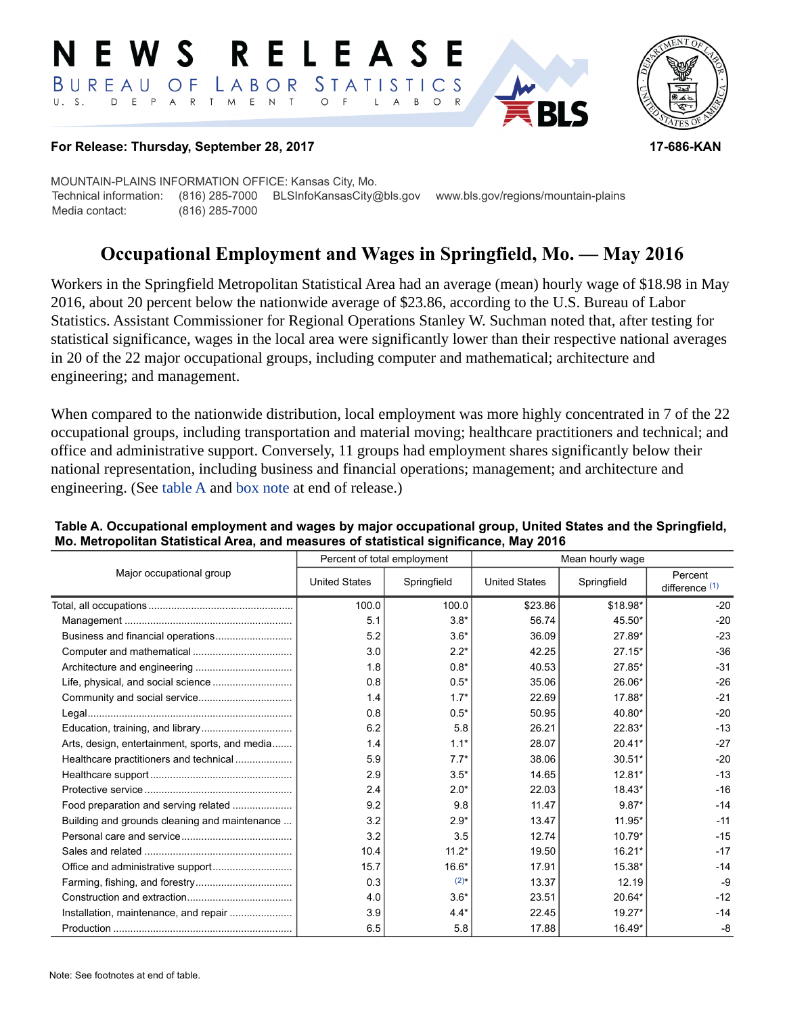#### RELEASE E W S LABOR STATISTICS BUREAU OF D E P A R T M E N T  $\circ$  $U. S.$  $F$  $\mathsf{L}$  $\overline{A}$  $B$  $\circ$



### **For Release: Thursday, September 28, 2017 17-686-KAN**

MOUNTAIN-PLAINS INFORMATION OFFICE: Kansas City, Mo. Technical information: (816) 285-7000 BLSInfoKansasCity@bls.gov www.bls.gov/regions/mountain-plains Media contact: (816) 285-7000

# **Occupational Employment and Wages in Springfield, Mo. — May 2016**

Workers in the Springfield Metropolitan Statistical Area had an average (mean) hourly wage of \$18.98 in May 2016, about 20 percent below the nationwide average of \$23.86, according to the U.S. Bureau of Labor Statistics. Assistant Commissioner for Regional Operations Stanley W. Suchman noted that, after testing for statistical significance, wages in the local area were significantly lower than their respective national averages in 20 of the 22 major occupational groups, including computer and mathematical; architecture and engineering; and management.

When compared to the nationwide distribution, local employment was more highly concentrated in 7 of the 22 occupational groups, including transportation and material moving; healthcare practitioners and technical; and office and administrative support. Conversely, 11 groups had employment shares significantly below their national representation, including business and financial operations; management; and architecture and engineering. (See table A and [box note](#page-1-0) at end of release.)

|                                                |                      | Percent of total employment | Mean hourly wage     |             |                             |  |
|------------------------------------------------|----------------------|-----------------------------|----------------------|-------------|-----------------------------|--|
| Major occupational group                       | <b>United States</b> | Springfield                 | <b>United States</b> | Springfield | Percent<br>difference $(1)$ |  |
|                                                | 100.0                | 100.0                       | \$23.86              | \$18.98*    | $-20$                       |  |
|                                                | 5.1                  | $3.8*$                      | 56.74                | 45.50*      | $-20$                       |  |
|                                                | 5.2                  | $3.6*$                      | 36.09                | 27.89*      | $-23$                       |  |
|                                                | 3.0                  | $2.2*$                      | 42.25                | $27.15*$    | $-36$                       |  |
|                                                | 1.8                  | $0.8*$                      | 40.53                | $27.85*$    | $-31$                       |  |
|                                                | 0.8                  | $0.5*$                      | 35.06                | 26.06*      | $-26$                       |  |
|                                                | 1.4                  | $1.7*$                      | 22.69                | 17.88*      | $-21$                       |  |
|                                                | 0.8                  | $0.5*$                      | 50.95                | 40.80*      | $-20$                       |  |
|                                                | 6.2                  | 5.8                         | 26.21                | 22.83*      | $-13$                       |  |
| Arts, design, entertainment, sports, and media | 1.4                  | $1.1*$                      | 28.07                | $20.41*$    | $-27$                       |  |
| Healthcare practitioners and technical         | 5.9                  | $7.7*$                      | 38.06                | $30.51*$    | $-20$                       |  |
|                                                | 2.9                  | $3.5*$                      | 14.65                | $12.81*$    | $-13$                       |  |
|                                                | 2.4                  | $2.0*$                      | 22.03                | 18.43*      | $-16$                       |  |
| Food preparation and serving related           | 9.2                  | 9.8                         | 11.47                | $9.87*$     | $-14$                       |  |
| Building and grounds cleaning and maintenance  | 3.2                  | $2.9*$                      | 13.47                | 11.95*      | $-11$                       |  |
|                                                | 3.2                  | 3.5                         | 12.74                | $10.79*$    | $-15$                       |  |
|                                                | 10.4                 | $11.2*$                     | 19.50                | $16.21*$    | $-17$                       |  |
|                                                | 15.7                 | $16.6*$                     | 17.91                | 15.38*      | $-14$                       |  |
|                                                | 0.3                  | $(2)$ *                     | 13.37                | 12.19       | $-9$                        |  |
|                                                | 4.0                  | $3.6*$                      | 23.51                | 20.64*      | $-12$                       |  |
| Installation, maintenance, and repair          | 3.9                  | $4.4*$                      | 22.45                | 19.27*      | $-14$                       |  |
|                                                | 6.5                  | 5.8                         | 17.88                | 16.49*      | -8                          |  |

### **Table A. Occupational employment and wages by major occupational group, United States and the Springfield, Mo. Metropolitan Statistical Area, and measures of statistical significance, May 2016**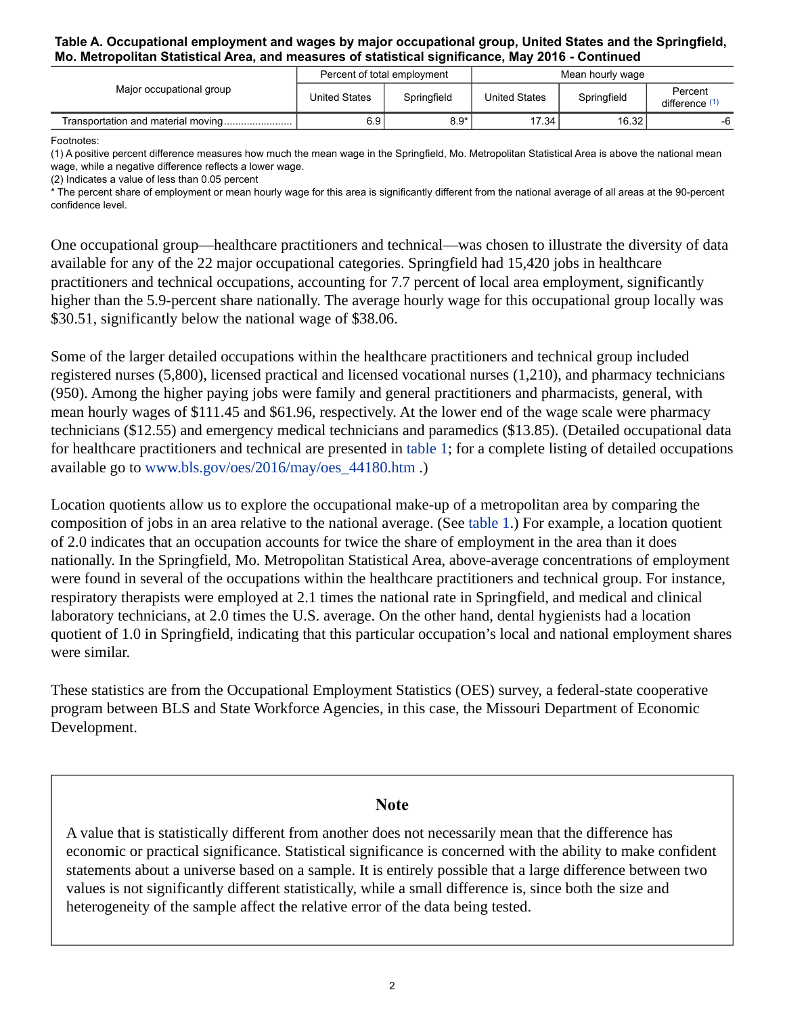#### **Table A. Occupational employment and wages by major occupational group, United States and the Springfield, Mo. Metropolitan Statistical Area, and measures of statistical significance, May 2016 - Continued**

| Major occupational group | Percent of total employment |             | Mean hourly wage     |             |                           |
|--------------------------|-----------------------------|-------------|----------------------|-------------|---------------------------|
|                          | <b>United States</b>        | Springfield | <b>United States</b> | Springfield | Percent<br>difference (1) |
|                          | 6.9                         | $8.9^*$     | 17.34                | 16.32       | -6                        |

Footnotes:

<span id="page-1-1"></span>(1) A positive percent difference measures how much the mean wage in the Springfield, Mo. Metropolitan Statistical Area is above the national mean wage, while a negative difference reflects a lower wage.

<span id="page-1-2"></span>(2) Indicates a value of less than 0.05 percent

\* The percent share of employment or mean hourly wage for this area is significantly different from the national average of all areas at the 90-percent confidence level.

One occupational group—healthcare practitioners and technical—was chosen to illustrate the diversity of data available for any of the 22 major occupational categories. Springfield had 15,420 jobs in healthcare practitioners and technical occupations, accounting for 7.7 percent of local area employment, significantly higher than the 5.9-percent share nationally. The average hourly wage for this occupational group locally was \$30.51, significantly below the national wage of \$38.06.

Some of the larger detailed occupations within the healthcare practitioners and technical group included registered nurses (5,800), licensed practical and licensed vocational nurses (1,210), and pharmacy technicians (950). Among the higher paying jobs were family and general practitioners and pharmacists, general, with mean hourly wages of \$111.45 and \$61.96, respectively. At the lower end of the wage scale were pharmacy technicians (\$12.55) and emergency medical technicians and paramedics (\$13.85). (Detailed occupational data for healthcare practitioners and technical are presented in table 1; for a complete listing of detailed occupations available go to [www.bls.gov/oes/2016/may/oes\\_44180.htm](https://www.bls.gov/oes/2016/may/oes_44180.htm) .)

Location quotients allow us to explore the occupational make-up of a metropolitan area by comparing the composition of jobs in an area relative to the national average. (See table 1.) For example, a location quotient of 2.0 indicates that an occupation accounts for twice the share of employment in the area than it does nationally. In the Springfield, Mo. Metropolitan Statistical Area, above-average concentrations of employment were found in several of the occupations within the healthcare practitioners and technical group. For instance, respiratory therapists were employed at 2.1 times the national rate in Springfield, and medical and clinical laboratory technicians, at 2.0 times the U.S. average. On the other hand, dental hygienists had a location quotient of 1.0 in Springfield, indicating that this particular occupation's local and national employment shares were similar.

These statistics are from the Occupational Employment Statistics (OES) survey, a federal-state cooperative program between BLS and State Workforce Agencies, in this case, the Missouri Department of Economic Development.

# **Note**

<span id="page-1-0"></span>A value that is statistically different from another does not necessarily mean that the difference has economic or practical significance. Statistical significance is concerned with the ability to make confident statements about a universe based on a sample. It is entirely possible that a large difference between two values is not significantly different statistically, while a small difference is, since both the size and heterogeneity of the sample affect the relative error of the data being tested.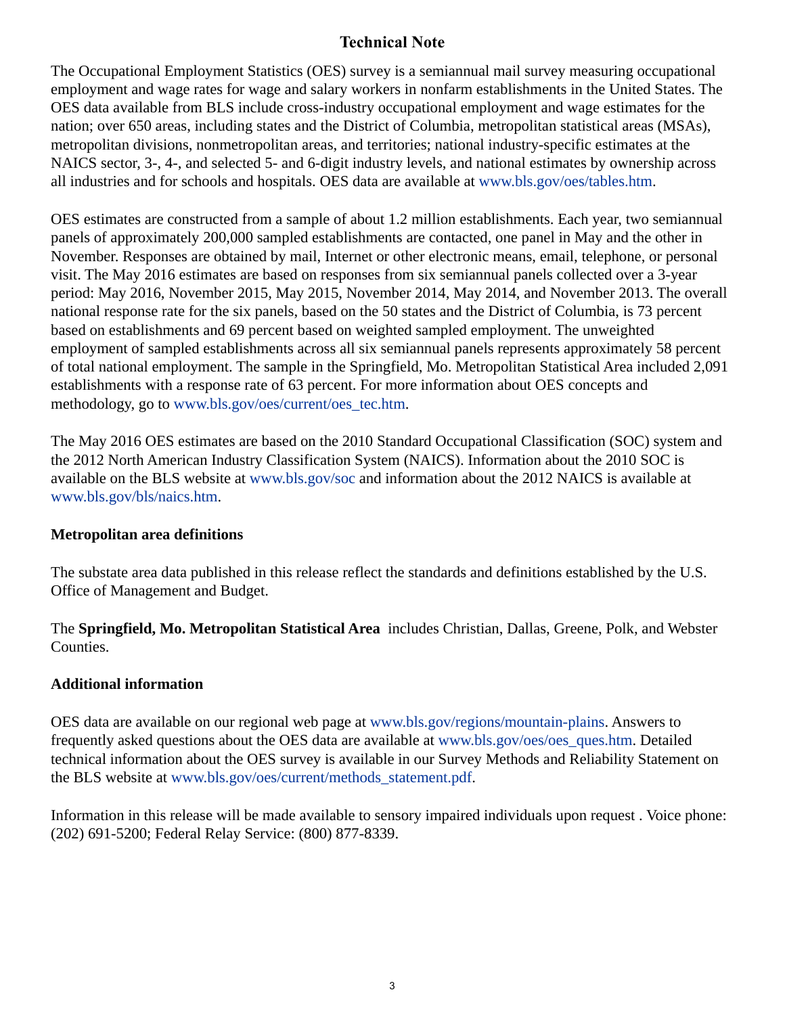# **Technical Note**

The Occupational Employment Statistics (OES) survey is a semiannual mail survey measuring occupational employment and wage rates for wage and salary workers in nonfarm establishments in the United States. The OES data available from BLS include cross-industry occupational employment and wage estimates for the nation; over 650 areas, including states and the District of Columbia, metropolitan statistical areas (MSAs), metropolitan divisions, nonmetropolitan areas, and territories; national industry-specific estimates at the NAICS sector, 3-, 4-, and selected 5- and 6-digit industry levels, and national estimates by ownership across all industries and for schools and hospitals. OES data are available at [www.bls.gov/oes/tables.htm](https://www.bls.gov/oes/tables.htm).

OES estimates are constructed from a sample of about 1.2 million establishments. Each year, two semiannual panels of approximately 200,000 sampled establishments are contacted, one panel in May and the other in November. Responses are obtained by mail, Internet or other electronic means, email, telephone, or personal visit. The May 2016 estimates are based on responses from six semiannual panels collected over a 3-year period: May 2016, November 2015, May 2015, November 2014, May 2014, and November 2013. The overall national response rate for the six panels, based on the 50 states and the District of Columbia, is 73 percent based on establishments and 69 percent based on weighted sampled employment. The unweighted employment of sampled establishments across all six semiannual panels represents approximately 58 percent of total national employment. The sample in the Springfield, Mo. Metropolitan Statistical Area included 2,091 establishments with a response rate of 63 percent. For more information about OES concepts and methodology, go to [www.bls.gov/oes/current/oes\\_tec.htm](https://www.bls.gov/news.release/ocwage.tn.htm).

The May 2016 OES estimates are based on the 2010 Standard Occupational Classification (SOC) system and the 2012 North American Industry Classification System (NAICS). Information about the 2010 SOC is available on the BLS website at [www.bls.gov/soc](https://www.bls.gov/soc) and information about the 2012 NAICS is available at [www.bls.gov/bls/naics.htm.](https://www.bls.gov/bls/naics.htm)

# **Metropolitan area definitions**

The substate area data published in this release reflect the standards and definitions established by the U.S. Office of Management and Budget.

The **Springfield, Mo. Metropolitan Statistical Area** includes Christian, Dallas, Greene, Polk, and Webster Counties.

# **Additional information**

OES data are available on our regional web page at [www.bls.gov/regions/mountain-plains.](https://www.bls.gov/regions/mountain-plains) Answers to frequently asked questions about the OES data are available at [www.bls.gov/oes/oes\\_ques.htm](https://www.bls.gov/oes/oes_ques.htm). Detailed technical information about the OES survey is available in our Survey Methods and Reliability Statement on the BLS website at [www.bls.gov/oes/current/methods\\_statement.pdf](https://www.bls.gov/oes/current/methods_statement.pdf).

Information in this release will be made available to sensory impaired individuals upon request . Voice phone: (202) 691-5200; Federal Relay Service: (800) 877-8339.